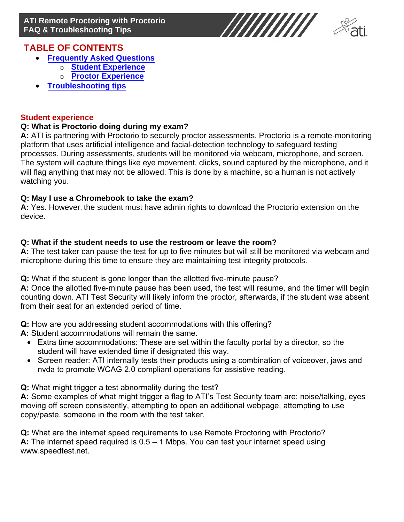

# **TABLE OF CONTENTS**

- **[Frequently Asked Questions](#page-0-0)**
	- o **[Student](#page-0-1) Experience**
	- o **[Proctor Experience](#page-0-2)**
- **[Troub](#page-2-1)[leshooting tips](#page-2-0)**

#### **Student experience**

## <span id="page-0-0"></span>**Q: What is Proctorio doing during my exam?**

<span id="page-0-1"></span>**A:** ATI is partnering with Proctorio to securely proctor assessments. Proctorio is a remote-monitoring platform that uses artificial intelligence and facial-detection technology to safeguard testing processes. During assessments, students will be monitored via webcam, microphone, and screen. The system will capture things like eye movement, clicks, sound captured by the microphone, and it will flag anything that may not be allowed. This is done by a machine, so a human is not actively watching you.

## **Q: May I use a Chromebook to take the exam?**

**A:** Yes. However, the student must have admin rights to download the Proctorio extension on the device.

## **Q: What if the student needs to use the restroom or leave the room?**

**A:** The test taker can pause the test for up to five minutes but will still be monitored via webcam and microphone during this time to ensure they are maintaining test integrity protocols.

**Q:** What if the student is gone longer than the allotted five-minute pause?

**A:** Once the allotted five-minute pause has been used, the test will resume, and the timer will begin counting down. ATI Test Security will likely inform the proctor, afterwards, if the student was absent from their seat for an extended period of time.

**Q:** How are you addressing student accommodations with this offering?

**A:** Student accommodations will remain the same.

- <span id="page-0-2"></span>• Extra time accommodations: These are set within the faculty portal by a director, so the student will have extended time if designated this way.
- Screen reader: ATI internally tests their products using a combination of voiceover, jaws and nvda to promote WCAG 2.0 compliant operations for assistive reading.

**Q:** What might trigger a test abnormality during the test?

**A:** Some examples of what might trigger a flag to ATI's Test Security team are: noise/talking, eyes moving off screen consistently, attempting to open an additional webpage, attempting to use copy/paste, someone in the room with the test taker.

**Q:** What are the internet speed requirements to use Remote Proctoring with Proctorio? **A:** The internet speed required is 0.5 – 1 Mbps. You can test your internet speed using www.speedtest.net.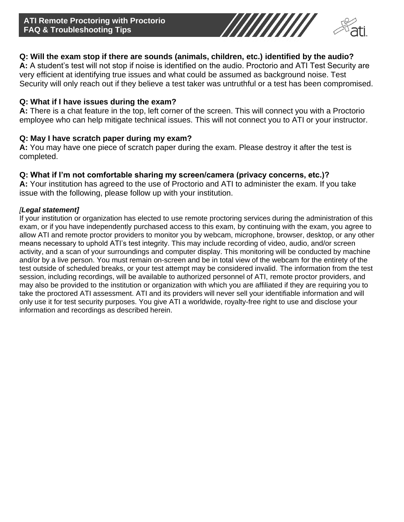

## **Q: Will the exam stop if there are sounds (animals, children, etc.) identified by the audio?**

**A:** A student's test will not stop if noise is identified on the audio. Proctorio and ATI Test Security are very efficient at identifying true issues and what could be assumed as background noise. Test Security will only reach out if they believe a test taker was untruthful or a test has been compromised.

#### **Q: What if I have issues during the exam?**

**A:** There is a chat feature in the top, left corner of the screen. This will connect you with a Proctorio employee who can help mitigate technical issues. This will not connect you to ATI or your instructor.

#### **Q: May I have scratch paper during my exam?**

**A:** You may have one piece of scratch paper during the exam. Please destroy it after the test is completed.

#### **Q: What if I'm not comfortable sharing my screen/camera (privacy concerns, etc.)?**

**A:** Your institution has agreed to the use of Proctorio and ATI to administer the exam. If you take issue with the following, please follow up with your institution.

#### *[Legal statement]*

I[f your institution or org](https://www.speedtest.net/)anization has elected to use remote proctoring services during the administration of this exam, or if you have independently purchased access to this exam, by continuing with the exam, you agree to allow ATI and remote proctor providers to monitor you by webcam, microphone, browser, desktop, or any other means necessary to uphold ATI's test integrity. This may include recording of video, audio, and/or screen activity, and a scan of your surroundings and computer display. This monitoring will be conducted by machine and/or by a live person. You must remain on-screen and be in total view of the webcam for the entirety of the test outside of scheduled breaks, or your test attempt may be considered invalid. The information from the test session, including recordings, will be available to authorized personnel of ATI, remote proctor providers, and may also be provided to the institution or organization with which you are affiliated if they are requiring you to take the proctored ATI assessment. ATI and its providers will never sell your identifiable information and will only use it for test security purposes. You give ATI a worldwide, royalty-free right to use and disclose your information and recordings as described herein.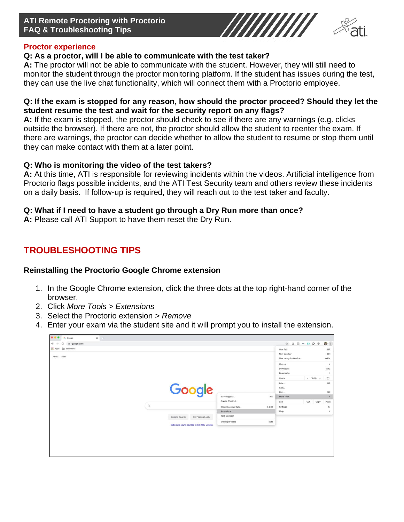## **ATI Remote Proctoring with Proctorio FAQ & Troubleshooting Tips**



#### <span id="page-2-0"></span>**Proctor experience**

#### **Q: As a proctor, will I be able to communicate with the test taker?**

**A:** The proctor will not be able to communicate with the student. However, they will still need to monitor the student through the proctor monitoring platform. If the student has issues during the test, they can use the live chat functionality, which will connect them with a Proctorio employee.

#### **Q: If the exam is stopped for any reason, how should the proctor proceed? Should they let the student resume the test and wait for the security report on any flags?**

**A:** If the exam is stopped, the proctor should check to see if there are any warnings (e.g. clicks outside the browser). If there are not, the proctor should allow the student to reenter the exam. If there are warnings, the proctor can decide whether to allow the student to resume or stop them until they can make contact with them at a later point.

## **Q: Who is monitoring the video of the test takers?**

**A:** At this time, ATI is responsible for reviewing incidents within the videos. Artificial intelligence from Proctorio flags possible incidents, and the ATI Test Security team and others review these incidents on a daily basis. If follow-up is required, they will reach out to the test taker and faculty.

## **Q: What if I need to have a student go through a Dry Run more than once?**

**A:** Please call ATI Support to have them reset the Dry Run.

# <span id="page-2-1"></span>**TROUBLESHOOTING TIPS**

#### **Reinstalling the Proctorio Google Chrome extension**

- 1. In the Google Chrome extension, click the three dots at the top right-hand corner of the browser.
- 2. Click *More Tools > Extensions*
- 3. Select the Proctorio extension > *Remove*
- 4. Enter your exam via the student site and it will prompt you to install the extension.

| $\leftarrow$<br>a google.com<br>e<br>$\rightarrow$ |              |                                              |                                 |                  |                                    | * O B W & Q @ (B) |                |
|----------------------------------------------------|--------------|----------------------------------------------|---------------------------------|------------------|------------------------------------|-------------------|----------------|
| <b>H</b> Apps <b>Em</b> Bookmarks                  |              |                                              |                                 |                  | New Tab                            |                   | 36T            |
| About Store                                        |              |                                              |                                 |                  | New Window<br>New Incognito Window |                   | 30N<br>OSN     |
|                                                    |              |                                              |                                 |                  | History<br>Downloads<br>Bookmarks  |                   | ٠<br>xx<br>×   |
|                                                    |              |                                              |                                 |                  | Zoom                               | $- 100\% +$       | $\mathbb{C}^*$ |
|                                                    |              | Google                                       |                                 |                  | Print<br>Cast<br>Find              |                   | 36P<br>3CF     |
|                                                    |              |                                              | Save Page As<br>Create Shortcut | $3$              | More Tools<br>$\bullet$            |                   |                |
|                                                    | $\mathbb{Q}$ |                                              |                                 |                  | Edit                               | Copy<br>Cut       | Paste          |
|                                                    |              |                                              | Clear Browsing Data             | O X <sup>o</sup> | Settings                           |                   | ä¢,            |
|                                                    |              |                                              | Extensions                      |                  | Help                               |                   | ٠              |
|                                                    |              | Google Search<br>I'm Feeling Lucky           | Task Manager                    |                  |                                    |                   |                |
|                                                    |              | Make sure you're counted in the 2020 Census. | Developer Tools                 | T301             |                                    |                   |                |
|                                                    |              |                                              |                                 |                  |                                    |                   |                |
|                                                    |              |                                              |                                 |                  |                                    |                   |                |
|                                                    |              |                                              |                                 |                  |                                    |                   |                |
|                                                    |              |                                              |                                 |                  |                                    |                   |                |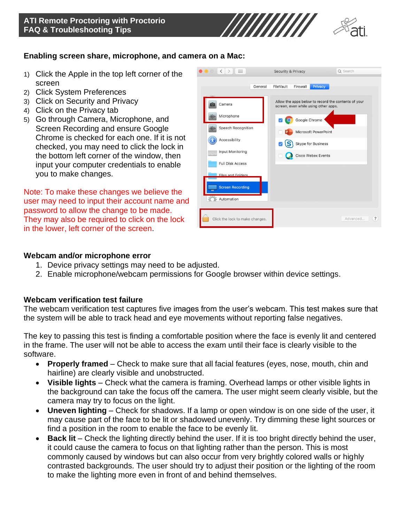

#### **Enabling screen share, microphone, and camera on a Mac:**

- 1) Click the Apple in the top left corner of the screen
- 2) Click System Preferences
- 3) Click on Security and Privacy
- 4) Click on the Privacy tab
- 5) Go through Camera, Microphone, and Screen Recording and ensure Google Chrome is checked for each one. If it is not checked, you may need to click the lock in the bottom left corner of the window, then input your computer credentials to enable you to make changes.

Note: To make these changes we believe the user may need to input their account name and password to allow the change to be made. They may also be required to click on the lock in the lower, left corner of the screen.

|         | ::::<br>$\langle$               | <b>Security &amp; Privacy</b>                                                               | Q Search                       |  |  |  |
|---------|---------------------------------|---------------------------------------------------------------------------------------------|--------------------------------|--|--|--|
|         | General                         | FileVault<br>Firewall<br>Privacy                                                            |                                |  |  |  |
|         | Camera                          | Allow the apps below to record the contents of your<br>screen, even while using other apps. |                                |  |  |  |
| ddde    | Microphone                      | Google Chrome                                                                               |                                |  |  |  |
| 中国      | <b>Speech Recognition</b>       | Microsoft PowerPoint                                                                        |                                |  |  |  |
|         | Accessibility                   | <b>Skype for Business</b>                                                                   |                                |  |  |  |
| William | Input Monitoring                | Cisco Webex Events                                                                          |                                |  |  |  |
|         | <b>Full Disk Access</b>         |                                                                                             |                                |  |  |  |
|         | Files and Folders               |                                                                                             |                                |  |  |  |
|         | <b>Screen Recording</b>         |                                                                                             |                                |  |  |  |
|         | Automation                      |                                                                                             |                                |  |  |  |
|         | Click the lock to make changes. |                                                                                             | $\overline{\cdot}$<br>Advanced |  |  |  |

#### **Webcam and/or microphone error**

- 1. Device privacy settings may need to be adjusted.
- 2. Enable microphone/webcam permissions for Google browser within device settings.

#### **Webcam verification test failure**

The webcam verification test captures five images from the user's webcam. This test makes sure that the system will be able to track head and eye movements without reporting false negatives.

The key to passing this test is finding a comfortable position where the face is evenly lit and centered in the frame. The user will not be able to access the exam until their face is clearly visible to the software.

- **Properly framed** Check to make sure that all facial features (eyes, nose, mouth, chin and hairline) are clearly visible and unobstructed.
- **Visible lights** Check what the camera is framing. Overhead lamps or other visible lights in the background can take the focus off the camera. The user might seem clearly visible, but the camera may try to focus on the light.
- **Uneven lighting** Check for shadows. If a lamp or open window is on one side of the user, it may cause part of the face to be lit or shadowed unevenly. Try dimming these light sources or find a position in the room to enable the face to be evenly lit.
- **Back lit** Check the lighting directly behind the user. If it is too bright directly behind the user, it could cause the camera to focus on that lighting rather than the person. This is most commonly caused by windows but can also occur from very brightly colored walls or highly contrasted backgrounds. The user should try to adjust their position or the lighting of the room to make the lighting more even in front of and behind themselves.